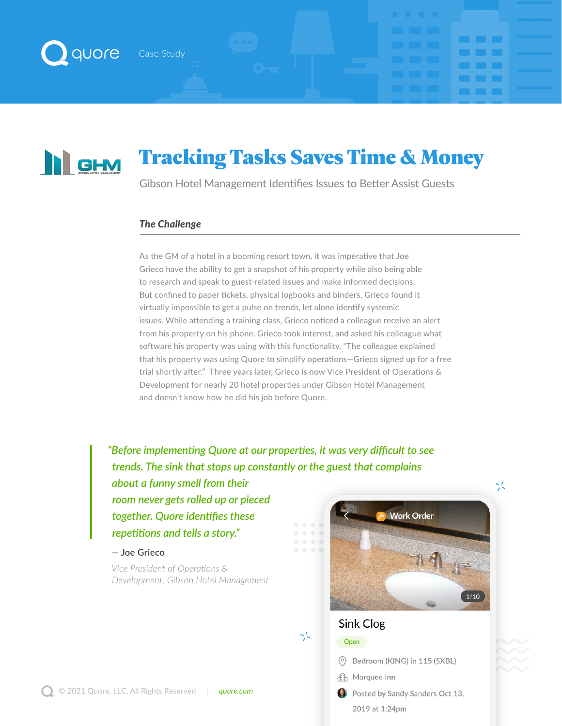

## Tracking Tasks Saves Time & Money **N** GHM

Gibson Hotel Management Identifies Issues to Better Assist Guests

#### *The Challenge*

As the GM of a hotel in a booming resort town, it was imperative that Joe Grieco have the ability to get a snapshot of his property while also being able to research and speak to guest-related issues and make informed decisions. But confined to paper tickets, physical logbooks and binders, Grieco found it virtually impossible to get a pulse on trends, let alone identify systemic issues. While attending a training class, Grieco noticed a colleague receive an alert from his property on his phone. Grieco took interest, and asked his colleague what software his property was using with this functionality. "The colleague explained that his property was using Quore to simplify operations—Grieco signed up for a free trial shortly after." Three years later, Grieco is now Vice President of Operations & Development for nearly 20 hotel properties under Gibson Hotel Management and doesn't know how he did his job before Quore.

*"Before implementing Quore at our properties, it was very difficult to see trends. The sink that stops up constantly or the guest that complains* 

*about a funny smell from their room never gets rolled up or pieced together. Quore identifies these repetitions and tells a story."*

#### **— Joe Grieco**

*Vice President of Operations & Development, Gibson Hotel Management*



**The Common**